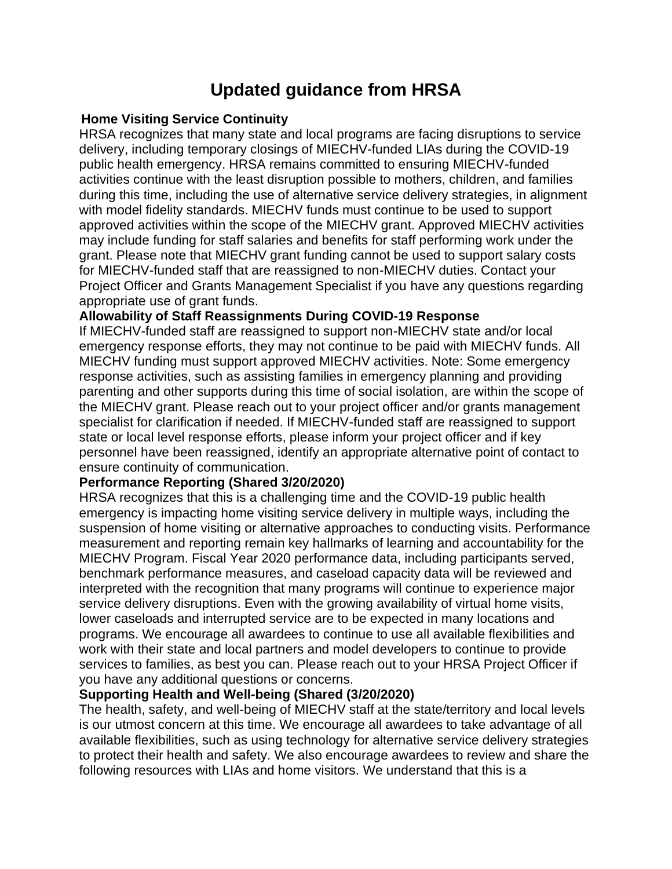# **Updated guidance from HRSA**

#### **Home Visiting Service Continuity**

HRSA recognizes that many state and local programs are facing disruptions to service delivery, including temporary closings of MIECHV-funded LIAs during the COVID-19 public health emergency. HRSA remains committed to ensuring MIECHV-funded activities continue with the least disruption possible to mothers, children, and families during this time, including the use of alternative service delivery strategies, in alignment with model fidelity standards. MIECHV funds must continue to be used to support approved activities within the scope of the MIECHV grant. Approved MIECHV activities may include funding for staff salaries and benefits for staff performing work under the grant. Please note that MIECHV grant funding cannot be used to support salary costs for MIECHV-funded staff that are reassigned to non-MIECHV duties. Contact your Project Officer and Grants Management Specialist if you have any questions regarding appropriate use of grant funds.

### **Allowability of Staff Reassignments During COVID-19 Response**

If MIECHV-funded staff are reassigned to support non-MIECHV state and/or local emergency response efforts, they may not continue to be paid with MIECHV funds. All MIECHV funding must support approved MIECHV activities. Note: Some emergency response activities, such as assisting families in emergency planning and providing parenting and other supports during this time of social isolation, are within the scope of the MIECHV grant. Please reach out to your project officer and/or grants management specialist for clarification if needed. If MIECHV-funded staff are reassigned to support state or local level response efforts, please inform your project officer and if key personnel have been reassigned, identify an appropriate alternative point of contact to ensure continuity of communication.

### **Performance Reporting (Shared 3/20/2020)**

HRSA recognizes that this is a challenging time and the COVID-19 public health emergency is impacting home visiting service delivery in multiple ways, including the suspension of home visiting or alternative approaches to conducting visits. Performance measurement and reporting remain key hallmarks of learning and accountability for the MIECHV Program. Fiscal Year 2020 performance data, including participants served, benchmark performance measures, and caseload capacity data will be reviewed and interpreted with the recognition that many programs will continue to experience major service delivery disruptions. Even with the growing availability of virtual home visits, lower caseloads and interrupted service are to be expected in many locations and programs. We encourage all awardees to continue to use all available flexibilities and work with their state and local partners and model developers to continue to provide services to families, as best you can. Please reach out to your HRSA Project Officer if you have any additional questions or concerns.

### **Supporting Health and Well-being (Shared (3/20/2020)**

The health, safety, and well-being of MIECHV staff at the state/territory and local levels is our utmost concern at this time. We encourage all awardees to take advantage of all available flexibilities, such as using technology for alternative service delivery strategies to protect their health and safety. We also encourage awardees to review and share the following resources with LIAs and home visitors. We understand that this is a